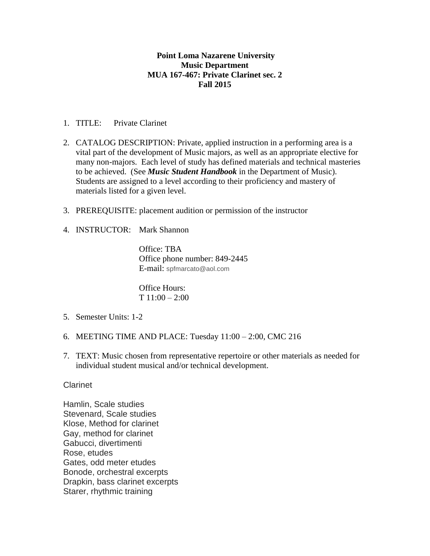## **Point Loma Nazarene University Music Department MUA 167-467: Private Clarinet sec. 2 Fall 2015**

- 1. TITLE: Private Clarinet
- 2. CATALOG DESCRIPTION: Private, applied instruction in a performing area is a vital part of the development of Music majors, as well as an appropriate elective for many non-majors. Each level of study has defined materials and technical masteries to be achieved. (See *Music Student Handbook* in the Department of Music). Students are assigned to a level according to their proficiency and mastery of materials listed for a given level.
- 3. PREREQUISITE: placement audition or permission of the instructor
- 4. INSTRUCTOR: Mark Shannon

Office: TBA Office phone number: 849-2445 E-mail: spfmarcato@aol.com

Office Hours: T 11:00 – 2:00

- 5. Semester Units: 1-2
- 6. MEETING TIME AND PLACE: Tuesday 11:00 2:00, CMC 216
- 7. TEXT: Music chosen from representative repertoire or other materials as needed for individual student musical and/or technical development.

## Clarinet

Hamlin, Scale studies Stevenard, Scale studies Klose, Method for clarinet Gay, method for clarinet Gabucci, divertimenti Rose, etudes Gates, odd meter etudes Bonode, orchestral excerpts Drapkin, bass clarinet excerpts Starer, rhythmic training